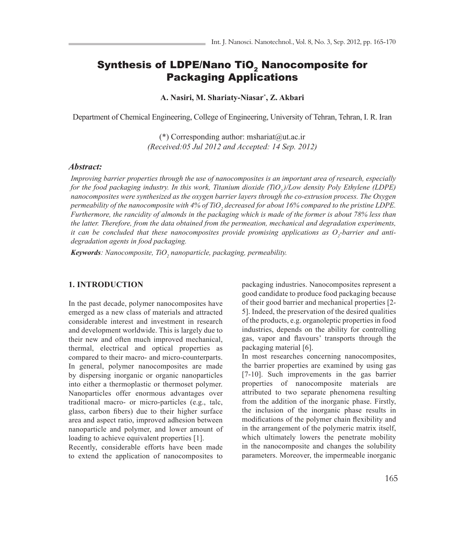# Synthesis of LDPE/Nano TiO<sub>2</sub> Nanocomposite for Packaging Applications

**A. Nasiri, M. Shariaty-Niasar\* , Z. Akbari**

Department of Chemical Engineering, College of Engineering, University of Tehran, Tehran, I. R. Iran

 $(*)$  Corresponding author: mshariat@ut.ac.ir *(Received:05 Jul 2012 and Accepted: 14 Sep. 2012)*

#### *Abstract:*

*Improving barrier properties through the use of nanocomposites is an important area of research, especially for the food packaging industry. In this work, Titanium dioxide (TiO,)/Low density Poly Ethylene (LDPE) nanocomposites were synthesized as the oxygen barrier layers through the co-extrusion process. The Oxygen*  permeability of the nanocomposite with 4% of TiO<sub>2</sub> decreased for about 16% compared to the pristine LDPE. *Furthermore, the rancidity of almonds in the packaging which is made of the former is about 78% less than the latter. Therefore, from the data obtained from the permeation, mechanical and degradation experiments,*  it can be concluded that these nanocomposites provide promising applications as O<sub>2</sub>-barrier and anti*degradation agents in food packaging.* 

*Keywords: Nanocomposite, TiO2 nanoparticle, packaging, permeability.*

## **1. INTRODUCTION**

In the past decade, polymer nanocomposites have emerged as a new class of materials and attracted considerable interest and investment in research and development worldwide. This is largely due to their new and often much improved mechanical, thermal, electrical and optical properties as compared to their macro- and micro-counterparts. In general, polymer nanocomposites are made by dispersing inorganic or organic nanoparticles into either a thermoplastic or thermoset polymer. Nanoparticles offer enormous advantages over traditional macro- or micro-particles (e.g., talc, glass, carbon fibers) due to their higher surface area and aspect ratio, improved adhesion between nanoparticle and polymer, and lower amount of loading to achieve equivalent properties [1].

Recently, considerable efforts have been made to extend the application of nanocomposites to

packaging industries. Nanocomposites represent a good candidate to produce food packaging because of their good barrier and mechanical properties [2- 5]. Indeed, the preservation of the desired qualities of the products, e.g. organoleptic properties in food industries, depends on the ability for controlling gas, vapor and flavours' transports through the packaging material [6].

In most researches concerning nanocomposites, the barrier properties are examined by using gas [7-10]. Such improvements in the gas barrier properties of nanocomposite materials are attributed to two separate phenomena resulting from the addition of the inorganic phase. Firstly, the inclusion of the inorganic phase results in modifications of the polymer chain flexibility and in the arrangement of the polymeric matrix itself, which ultimately lowers the penetrate mobility in the nanocomposite and changes the solubility parameters. Moreover, the impermeable inorganic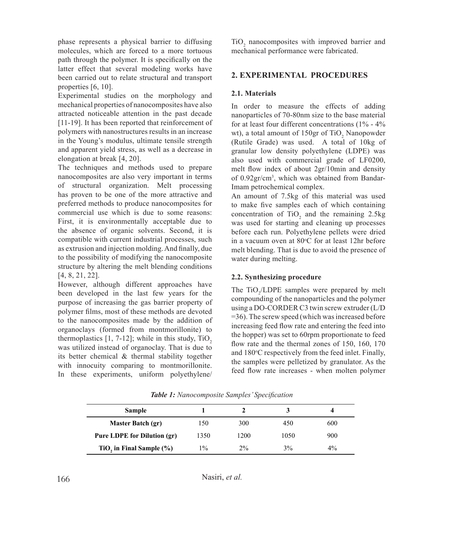phase represents a physical barrier to diffusing molecules, which are forced to a more tortuous path through the polymer. It is specifically on the latter effect that several modeling works have been carried out to relate structural and transport properties [6, 10].

Experimental studies on the morphology and mechanical properties of nanocomposites have also attracted noticeable attention in the past decade [11-19]. It has been reported that reinforcement of polymers with nanostructures results in an increase in the Young's modulus, ultimate tensile strength and apparent yield stress, as well as a decrease in elongation at break [4, 20].

The techniques and methods used to prepare nanocomposites are also very important in terms of structural organization. Melt processing has proven to be one of the more attractive and preferred methods to produce nanocomposites for commercial use which is due to some reasons: First, it is environmentally acceptable due to the absence of organic solvents. Second, it is compatible with current industrial processes, such as extrusion and injection molding. And finally, due to the possibility of modifying the nanocomposite structure by altering the melt blending conditions [4, 8, 21, 22].

However, although different approaches have been developed in the last few years for the purpose of increasing the gas barrier property of polymer films, most of these methods are devoted to the nanocomposites made by the addition of organoclays (formed from montmorillonite) to thermoplastics  $[1, 7-12]$ ; while in this study,  $TiO<sub>2</sub>$ was utilized instead of organoclay. That is due to its better chemical & thermal stability together with innocuity comparing to montmorillonite. In these experiments, uniform polyethylene/

 $TiO<sub>2</sub>$  nanocomposites with improved barrier and mechanical performance were fabricated.

# **2. EXPERIMENTAL PROCEDURES**

#### **2.1. Materials**

In order to measure the effects of adding nanoparticles of 70-80nm size to the base material for at least four different concentrations  $(1\% - 4\%)$ wt), a total amount of 150gr of  $TiO_2$  Nanopowder (Rutile Grade) was used. A total of 10kg of granular low density polyethylene (LDPE) was also used with commercial grade of LF0200, melt flow index of about 2gr/10min and density of 0.92gr/cm3 , which was obtained from Bandar-Imam petrochemical complex.

An amount of 7.5kg of this material was used to make five samples each of which containing concentration of  $TiO<sub>2</sub>$  and the remaining 2.5kg was used for starting and cleaning up processes before each run. Polyethylene pellets were dried in a vacuum oven at  $80^{\circ}$ C for at least 12hr before melt blending. That is due to avoid the presence of water during melting.

#### **2.2. Synthesizing procedure**

The  $TiO_2/LDPE$  samples were prepared by melt compounding of the nanoparticles and the polymer using a DO-CORDER C3 twin screw extruder (L/D =36). The screw speed (which was increased before increasing feed flow rate and entering the feed into the hopper) was set to 60rpm proportionate to feed flow rate and the thermal zones of 150, 160, 170 and 180°C respectively from the feed inlet. Finally, the samples were pelletized by granulator. As the feed flow rate increases - when molten polymer

| <b>Sample</b>                      |               |       |      |     |
|------------------------------------|---------------|-------|------|-----|
| Master Batch (gr)                  | 150           | 300   | 450  | 600 |
| <b>Pure LDPE for Dilution (gr)</b> | 1350          | 1200  | 1050 | 900 |
| TiO, in Final Sample (%)           | $\frac{0}{0}$ | $2\%$ | 3%   | 4%  |

*Table 1: Nanocomposite Samples' Specification*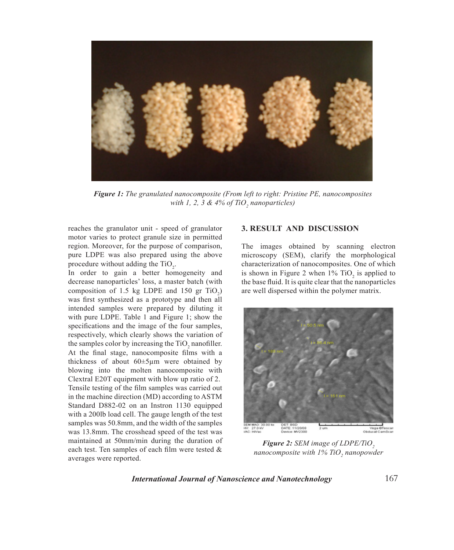

*Figure 1: The granulated nanocomposite (From left to right: Pristine PE, nanocomposites*  with 1, 2, 3 & 4% of TiO<sub>2</sub> nanoparticles)

reaches the granulator unit - speed of granulator motor varies to protect granule size in permitted region. Moreover, for the purpose of comparison, pure LDPE was also prepared using the above procedure without adding the  $TiO<sub>2</sub>$ .

In order to gain a better homogeneity and decrease nanoparticles' loss, a master batch (with composition of 1.5 kg LDPE and 150 gr  $TiO_2$ ) was first synthesized as a prototype and then all intended samples were prepared by diluting it with pure LDPE. Table 1 and Figure 1; show the specifications and the image of the four samples, respectively, which clearly shows the variation of the samples color by increasing the  $TiO<sub>2</sub>$  nanofiller. At the final stage, nanocomposite films with a thickness of about 60±5µm were obtained by blowing into the molten nanocomposite with Clextral E20T equipment with blow up ratio of 2. Tensile testing of the film samples was carried out in the machine direction (MD) according to ASTM Standard D882-02 on an Instron 1130 equipped with a 200lb load cell. The gauge length of the test samples was 50.8mm, and the width of the samples was 13.8mm. The crosshead speed of the test was maintained at 50mm/min during the duration of each test. Ten samples of each film were tested & averages were reported.

# **3. RESULT AND DISCUSSION**

The images obtained by scanning electron microscopy (SEM), clarify the morphological characterization of nanocomposites. One of which is shown in Figure 2 when  $1\%$  TiO<sub>2</sub> is applied to the base fluid. It is quite clear that the nanoparticles are well dispersed within the polymer matrix.



*Figure 2: SEM image of LDPE/TiO*<sub>2</sub> *nanocomposite with 1% TiO2 nanopowder*

*International Journal of Nanoscience and Nanotechnology*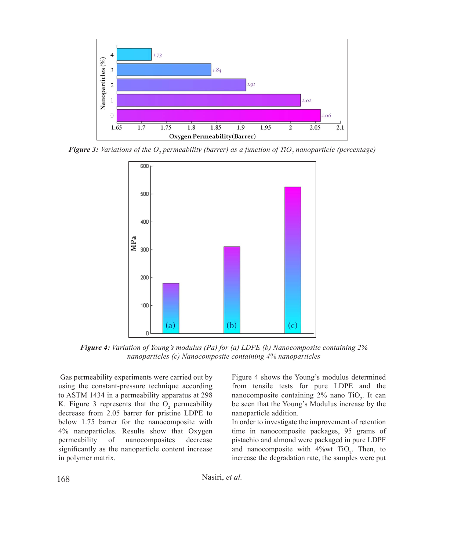

**Figure 3:** Variations of the  $O_2$  permeability (barrer) as a function of TiO<sub>2</sub> nanoparticle (percentage) **re 3:** Variations of the  $O_2$  permeability (barrer) as a function of TiO<sub>2</sub> nanoparticle (per



**Figure 4:** Variation of Young's modulus (Pa) for (a) LDPE (b) Nanocomposite containing 2%  $I_{\text{unif}}$  in  $I_{\text{unif}}$  is a set of retrievement of returning the nanocomposite parameters, 95 grams of  $I_{\text{unif}}$  $F_{\text{M}}(c)$   $N_{\text{M}}(c)$   $N_{\text{M}}(c)$  composite containing  $N_{\text{M}}(c)$  nanoparticles **nanoparticles (c) Nanocomposite containing 4% nanoparticles**  *nanoparticles (c) Nanocomposite containing 4% nanoparticles*

Gas permeability experiments were carried out by Figure 4 shows the Young's mo- $\frac{1}{2}$  using the constant-pressure technique according from tensile tests for pure to ASTM 1434 in a permeability apparatus at 298 K. Figure 3 represents that the  $O_2$  permeability decrease from 2.05 barrer for pristine LDPE to below 1.75 barrer for the nanocomposite with 4% nanoparticles. Results show that Oxygen permeability of nanocomposites decrease significantly as the nanoparticle content increase in polymer matrix.

Figure 4 shows the Young's modulus determined from tensile tests for pure LDPE and the nanocomposite containing  $2\%$  nano TiO<sub>2</sub>. It can be seen that the Young's Modulus increase by the nanoparticle addition.

In order to investigate the improvement of retention time in nanocomposite packages, 95 grams of pistachio and almond were packaged in pure LDPF and nanocomposite with  $4\%$  wt TiO<sub>2</sub>. Then, to increase the degradation rate, the samples were put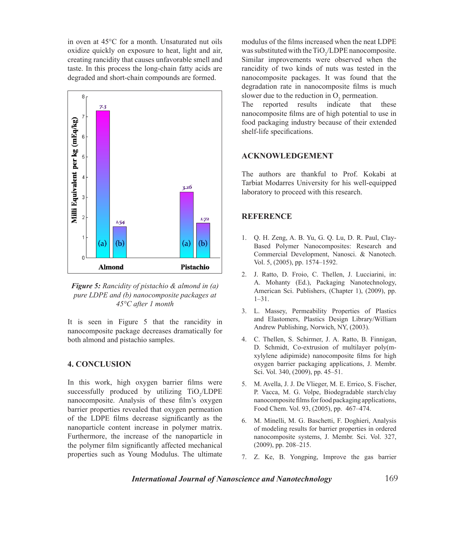in oven at 45°C for a month. Unsaturated nut oils oxidize quickly on exposure to heat, light and air, creating rancidity that causes unfavorable smell and taste. In this process the long-chain fatty acids are degraded and short-chain compounds are formed. The nanocomposite parameters of two is



**Figure 5:** Rancidity of pistachio & almond in (a) *pure LDPE and (b) nanocomposite packages at 45°C after 1 month*

nanocomposite package decreases dramatically for **EXPE ADDE ENERGY** NUMBER both almond and pistachio samples. 4. C. Thellen, S. It is seen in Figure 5 that the rancidity in

## **4. CONCLUSION** oxygen barrier

In this work, high oxygen barrier films were 5. M. Avella, J. J. successfully produced by utilizing  $TiO_2/LDPE$  $T_1$  are only the reported results in the use in the value of these in  $T_1$  and  $T_2$  and  $T_3$  are  $T_4$  in  $T_5$  and  $T_6$  in  $T_7$  and  $T_8$  and  $T_7$  and  $T_8$  are  $T_7$  and  $T_8$  are  $T_7$  and  $T_8$  are  $T_8$  and handcomposite. That ysis of these thin s oxygen<br>barrier properties revealed that oxygen permeation of the LDPE films decrease significantly as the  $\sim$  6. M. Minelli, M. nanoparticle content increase in polymer matrix. 1. Q. H. Zeng, A. B. Yu, G. Q. Lu, D. R. Paul, Clay-Based Polymer Nanocomposites: Research and properties such as Young Modulus. The ultimate Furthermore, the increase of the nanoparticle in the polymer film significantly affected mechanical

modulus of the films increased when the neat LDPE was substituted with the  $TiO_2/LDPE$  nanocomposite. Similar improvements were observed when the rancidity of two kinds of nuts was tested in the nanocomposite packages. It was found that the slower due to the reduction in  $O_2$  permeation.

The reported results indicate that these nanocomposite films are of high potential to use in food packaging industry because of their extended shelf-life specifications.

## **ACKNOWLEDGEMENT**

The authors are thankful to Prof. Kokabi at Tarbiat Modarres University for his well-equipped laboratory to proceed with this research.

# **REFERENCE**

- 1. Q. H. Zeng, A. B. Yu, G. Q. Lu, D. R. Paul, Clay-Based Polymer Nanocomposites: Research and Commercial Development, Nanosci. & Nanotech. Vol. 5, (2005), pp. 1574–1592.
- 2. J. Ratto, D. Froio, C. Thellen, J. Lucciarini, in: A. Mohanty (Ed.), Packaging Nanotechnology, American Sci. Publishers, (Chapter 1), (2009), pp. 1–31.
- 3. L. Massey, Permeability Properties of Plastics and Elastomers, Plastics Design Library/William Andrew Publishing, Norwich, NY, (2003).
- $D.$  Schmidt, C  $x$ ylylene adipin  $t$ Sci. Vol. 340, (2 4. C. Thellen, S. Schirmer, J. A. Ratto, B. Finnigan, D. Schmidt, Co-extrusion of multilayer poly(mxylylene adipimide) nanocomposite films for high oxygen barrier packaging applications, J. Membr. Sci. Vol. 340, (2009), pp. 45–51.
	- 5. M. Avella, J. J. De Vlieger, M. E. Errico, S. Fischer, P. Vacca, M. G. Volpe, Biodegradable starch/clay nanocomposite films for food packaging applications, Food Chem. Vol. 93, (2005), pp. 467–474.
	- 6. M. Minelli, M. G. Baschetti, F. Doghieri, Analysis of modeling results for barrier properties in ordered nanocomposite systems, J. Membr. Sci. Vol. 327, (2009), pp. 208–215.
	- 7. Z. Ke, B. Yongping, Improve the gas barrier

*International Journal of Nanoscience and Nanotechnology*